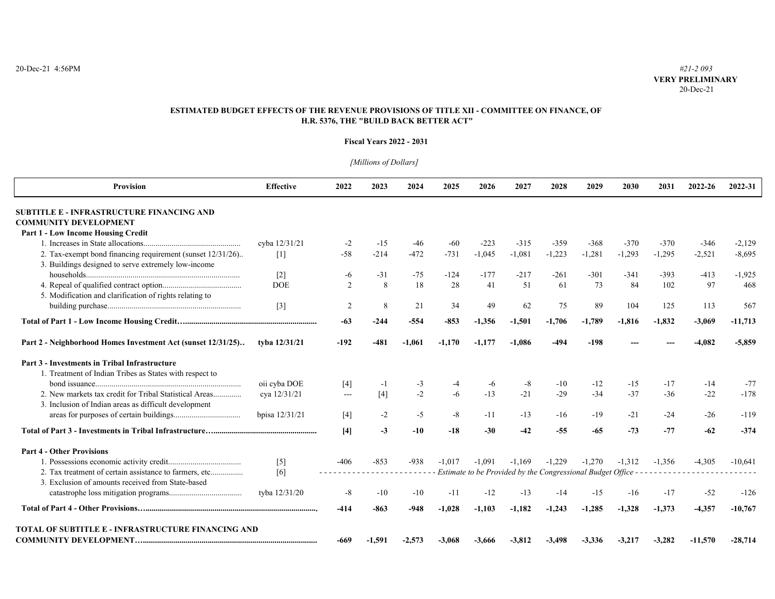20-Dec-21 4:56PM

## **ESTIMATED BUDGET EFFECTS OF THE REVENUE PROVISIONS OF TITLE XII - COMMITTEE ON FINANCE, OF H.R. 5376, THE "BUILD BACK BETTER ACT"**

#### **Fiscal Years 2022 - 2031**

# *[Millions of Dollars]*

| <b>Provision</b>                                                                                                  | <b>Effective</b> | 2022                | 2023   | 2024     | 2025     | 2026     | 2027     | 2028                                                         | 2029     | 2030     | 2031     | 2022-26   | 2022-31   |
|-------------------------------------------------------------------------------------------------------------------|------------------|---------------------|--------|----------|----------|----------|----------|--------------------------------------------------------------|----------|----------|----------|-----------|-----------|
| <b>SUBTITLE E - INFRASTRUCTURE FINANCING AND</b>                                                                  |                  |                     |        |          |          |          |          |                                                              |          |          |          |           |           |
| <b>COMMUNITY DEVELOPMENT</b>                                                                                      |                  |                     |        |          |          |          |          |                                                              |          |          |          |           |           |
| <b>Part 1 - Low Income Housing Credit</b>                                                                         |                  |                     |        |          |          |          |          |                                                              |          |          |          |           |           |
|                                                                                                                   | cyba 12/31/21    | $-2$                | $-15$  | $-46$    | -60      | $-223$   | $-315$   | $-359$                                                       | $-368$   | $-370$   | $-370$   | $-346$    | $-2,129$  |
| 2. Tax-exempt bond financing requirement (sunset 12/31/26)<br>3. Buildings designed to serve extremely low-income | $[1]$            | $-58$               | $-214$ | $-472$   | $-731$   | $-1,045$ | $-1,081$ | $-1,223$                                                     | $-1,281$ | $-1,293$ | $-1,295$ | $-2,521$  | $-8,695$  |
|                                                                                                                   | $[2]$            | -6                  | $-31$  | $-75$    | $-124$   | $-177$   | $-217$   | $-261$                                                       | $-301$   | $-341$   | $-393$   | $-413$    | $-1,925$  |
|                                                                                                                   | <b>DOE</b>       | 2                   | 8      | 18       | 28       | 41       | 51       | 61                                                           | 73       | 84       | 102      | 97        | 468       |
| 5. Modification and clarification of rights relating to                                                           |                  |                     |        |          |          |          |          |                                                              |          |          |          |           |           |
|                                                                                                                   | $[3]$            | $\overline{2}$      | 8      | 21       | 34       | 49       | 62       | 75                                                           | 89       | 104      | 125      | 113       | 567       |
|                                                                                                                   |                  | $-63$               | $-244$ | $-554$   | $-853$   | $-1,356$ | $-1,501$ | $-1,706$                                                     | $-1,789$ | $-1,816$ | $-1,832$ | $-3,069$  | $-11,713$ |
| Part 2 - Neighborhood Homes Investment Act (sunset 12/31/25)                                                      | tyba 12/31/21    | $-192$              | $-481$ | $-1,061$ | $-1,170$ | $-1,177$ | $-1,086$ | $-494$                                                       | $-198$   |          |          | 4.082     | $-5,859$  |
| Part 3 - Investments in Tribal Infrastructure                                                                     |                  |                     |        |          |          |          |          |                                                              |          |          |          |           |           |
| 1. Treatment of Indian Tribes as States with respect to                                                           |                  |                     |        |          |          |          |          |                                                              |          |          |          |           |           |
|                                                                                                                   | oii cyba DOE     | $[4]$               | $-1$   | $-3$     | -4       | -6       | -8       | $-10$                                                        | $-12$    | $-15$    | $-17$    | $-14$     | $-77$     |
| 2. New markets tax credit for Tribal Statistical Areas                                                            | cya 12/31/21     | $\qquad \qquad - -$ | [4]    | $-2$     | $-6$     | $-13$    | $-21$    | $-29$                                                        | $-34$    | $-37$    | $-36$    | $-22$     | $-178$    |
| 3. Inclusion of Indian areas as difficult development                                                             |                  |                     |        |          |          |          |          |                                                              |          |          |          |           |           |
|                                                                                                                   | bpisa 12/31/21   | [4]                 | $-2$   | $-5$     | $-8$     | $-11$    | $-13$    | $-16$                                                        | $-19$    | $-21$    | $-24$    | $-26$     | $-119$    |
|                                                                                                                   |                  | [4]                 | $-3$   | $-10$    | $-18$    | $-30$    | $-42$    | $-55$                                                        | $-65$    | $-73$    | $-77$    | $-62$     | $-374$    |
| <b>Part 4 - Other Provisions</b>                                                                                  |                  |                     |        |          |          |          |          |                                                              |          |          |          |           |           |
|                                                                                                                   | $[5]$            | $-406$              | $-853$ | $-938$   | $-1.017$ | $-1.091$ | $-1.169$ | $-1.229$                                                     | $-1,270$ | $-1.312$ | $-1.356$ | $-4.305$  | $-10.641$ |
| 2. Tax treatment of certain assistance to farmers, etc                                                            | [6]              |                     |        |          |          |          |          | Estimate to be Provided by the Congressional Budget Office - |          |          |          |           |           |
| 3. Exclusion of amounts received from State-based                                                                 |                  |                     |        |          |          |          |          |                                                              |          |          |          |           |           |
|                                                                                                                   | tyba 12/31/20    | -8                  | $-10$  | $-10$    | $-11$    | $-12$    | $-13$    | -14                                                          | $-15$    | $-16$    | $-17$    | $-52$     | $-126$    |
|                                                                                                                   |                  | -414                | $-863$ | $-948$   | $-1,028$ | $-1,103$ | $-1,182$ | $-1,243$                                                     | $-1,285$ | $-1,328$ | $-1,373$ | $-4,357$  | $-10,767$ |
| <b>TOTAL OF SUBTITLE E - INFRASTRUCTURE FINANCING AND</b>                                                         |                  |                     |        |          |          |          |          |                                                              |          |          |          |           |           |
|                                                                                                                   |                  | -669                | -1.591 | $-2.573$ | -3.068   | -3.666   | $-3.812$ | $-3.498$                                                     | $-3.336$ | $-3.217$ | $-3,282$ | $-11.570$ | $-28,714$ |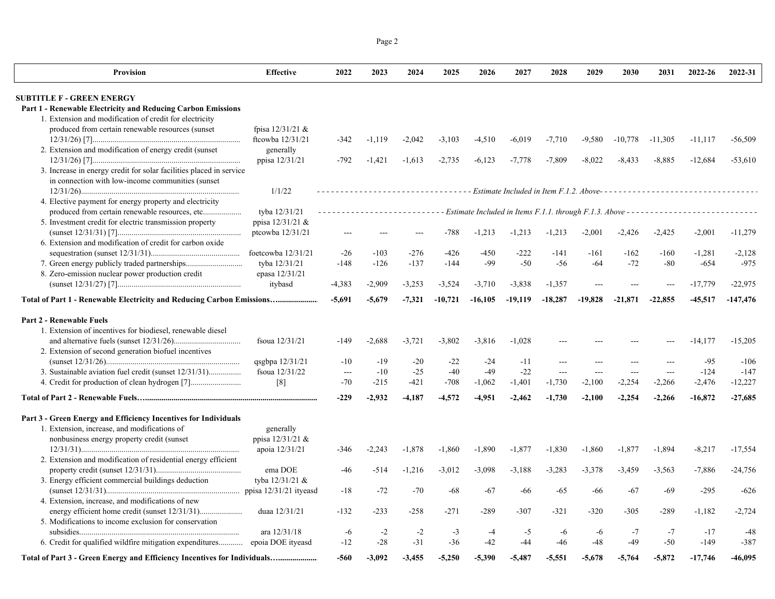| Provision                                                                | <b>Effective</b>            | 2022          | 2023          | 2024     | 2025          | 2026          | 2027          | 2028        | 2029        | 2030           | 2031      | 2022-26                                                                               | 2022-31         |
|--------------------------------------------------------------------------|-----------------------------|---------------|---------------|----------|---------------|---------------|---------------|-------------|-------------|----------------|-----------|---------------------------------------------------------------------------------------|-----------------|
| <b>SUBTITLE F - GREEN ENERGY</b>                                         |                             |               |               |          |               |               |               |             |             |                |           |                                                                                       |                 |
| <b>Part 1 - Renewable Electricity and Reducing Carbon Emissions</b>      |                             |               |               |          |               |               |               |             |             |                |           |                                                                                       |                 |
| 1. Extension and modification of credit for electricity                  |                             |               |               |          |               |               |               |             |             |                |           |                                                                                       |                 |
| produced from certain renewable resources (sunset                        | fpisa 12/31/21 &            |               |               |          |               |               |               |             |             |                |           |                                                                                       |                 |
|                                                                          | ftcowba 12/31/21            | $-342$        | $-1,119$      | $-2,042$ | $-3,103$      | $-4,510$      | $-6,019$      | $-7,710$    | $-9,580$    | $-10,778$      | $-11,305$ | $-11,117$                                                                             | $-56,509$       |
| 2. Extension and modification of energy credit (sunset)                  | generally<br>ppisa 12/31/21 | $-792$        | $-1,421$      | $-1,613$ | $-2,735$      | $-6,123$      | $-7,778$      | $-7,809$    | $-8,022$    | $-8,433$       | $-8,885$  | $-12,684$                                                                             | $-53,610$       |
| 3. Increase in energy credit for solar facilities placed in service      |                             |               |               |          |               |               |               |             |             |                |           |                                                                                       |                 |
| in connection with low-income communities (sunset                        | 1/1/22                      |               |               |          |               |               |               |             |             |                |           |                                                                                       |                 |
|                                                                          |                             |               |               |          |               |               |               |             |             |                |           |                                                                                       |                 |
| 4. Elective payment for energy property and electricity                  |                             |               |               |          |               |               |               |             |             |                |           |                                                                                       |                 |
| produced from certain renewable resources, etc                           | tyba 12/31/21               |               |               |          |               |               |               |             |             |                |           | - Estimate Included in Items F.1.1. through F.1.3. Above ---------------------------- |                 |
| 5. Investment credit for electric transmission property                  | ppisa 12/31/21 &            |               |               |          |               |               |               |             |             |                |           |                                                                                       |                 |
|                                                                          | ptcowba 12/31/21            |               |               | $-$      | $-788$        | $-1,213$      | $-1,213$      | $-1,213$    | $-2,001$    | $-2,426$       | $-2,425$  | $-2,001$                                                                              | $-11,279$       |
| 6. Extension and modification of credit for carbon oxide                 |                             |               |               |          |               |               |               |             |             |                |           |                                                                                       |                 |
|                                                                          | foetcowba 12/31/21          | $-26$         | $-103$        | $-276$   | $-426$        | $-450$        | $-222$        | $-141$      | $-161$      | $-162$         | $-160$    | $-1,281$                                                                              | $-2,128$        |
|                                                                          | tyba 12/31/21               | $-148$        | $-126$        | $-137$   | $-144$        | $-99$         | $-50$         | $-56$       | $-64$       | $-72$          | $-80$     | $-654$                                                                                | $-975$          |
| 8. Zero-emission nuclear power production credit                         | epasa 12/31/21              |               |               |          |               |               |               |             |             |                |           |                                                                                       |                 |
|                                                                          | itybasd                     | $-4,383$      | $-2,909$      | $-3,253$ | $-3,524$      | $-3,710$      | $-3,838$      | $-1,357$    | $---$       | $\overline{a}$ |           | $-17,779$                                                                             | $-22,975$       |
| Total of Part 1 - Renewable Electricity and Reducing Carbon Emissions    |                             | $-5,691$      | $-5,679$      | $-7,321$ | $-10,721$     | $-16,105$     | $-19,119$     | $-18,287$   | $-19,828$   | $-21,871$      | $-22,855$ | $-45,517$                                                                             | $-147,476$      |
| <b>Part 2 - Renewable Fuels</b>                                          |                             |               |               |          |               |               |               |             |             |                |           |                                                                                       |                 |
| 1. Extension of incentives for biodiesel, renewable diesel               |                             |               |               |          |               |               |               |             |             |                |           |                                                                                       |                 |
|                                                                          |                             |               |               |          |               |               |               |             |             |                |           |                                                                                       |                 |
|                                                                          | fsoua 12/31/21              | $-149$        | $-2,688$      | $-3,721$ | $-3,802$      | $-3,816$      | $-1,028$      |             |             |                |           | $-14,177$                                                                             | $-15,205$       |
| 2. Extension of second generation biofuel incentives                     |                             |               |               |          |               |               |               |             |             |                |           |                                                                                       |                 |
|                                                                          | qsgbpa $12/31/21$           | $-10$         | $-19$         | $-20$    | $-22$         | $-24$         | $-11$         | $\sim$      | $\sim$      | $-$            |           | $-95$                                                                                 | $-106$          |
| 3. Sustainable aviation fuel credit (sunset 12/31/31)                    | fsoua 12/31/22              | $\sim$ $\sim$ | $-10$         | $-25$    | $-40$         | $-49$         | $-22$         | $\sim$      | $\sim$      | $-$            |           | $-124$                                                                                | $-147$          |
| 4. Credit for production of clean hydrogen [7]                           | [8]                         | $-70$         | $-215$        | $-421$   | $-708$        | $-1,062$      | $-1,401$      | $-1,730$    | $-2,100$    | $-2,254$       | $-2,266$  | $-2,476$                                                                              | $-12,227$       |
|                                                                          |                             | $-229$        | $-2,932$      | $-4,187$ | $-4,572$      | $-4,951$      | $-2,462$      | $-1,730$    | $-2,100$    | $-2,254$       | $-2,266$  | $-16,872$                                                                             | $-27,685$       |
| Part 3 - Green Energy and Efficiency Incentives for Individuals          |                             |               |               |          |               |               |               |             |             |                |           |                                                                                       |                 |
| 1. Extension, increase, and modifications of                             | generally                   |               |               |          |               |               |               |             |             |                |           |                                                                                       |                 |
| nonbusiness energy property credit (sunset                               | ppisa 12/31/21 &            |               |               |          |               |               |               |             |             |                |           |                                                                                       |                 |
|                                                                          | apoia 12/31/21              | $-346$        | $-2,243$      | $-1,878$ | $-1,860$      | $-1,890$      | $-1,877$      | $-1,830$    | $-1,860$    | $-1,877$       | $-1,894$  | $-8,217$                                                                              | $-17,554$       |
| 2. Extension and modification of residential energy efficient            |                             |               |               |          |               |               |               |             |             |                |           |                                                                                       |                 |
|                                                                          | ema DOE                     | $-46$         | $-514$        | $-1,216$ | $-3,012$      | $-3,098$      | $-3,188$      | $-3,283$    | $-3,378$    | $-3,459$       | $-3,563$  | $-7,886$                                                                              | $-24,756$       |
| 3. Energy efficient commercial buildings deduction                       | tyba 12/31/21 &             |               |               |          |               |               |               |             |             |                |           |                                                                                       |                 |
|                                                                          |                             | $-18$         | $-72$         | $-70$    | $-68$         | $-67$         | -66           | $-65$       | $-66$       | $-67$          | $-69$     | $-295$                                                                                | $-626$          |
| 4. Extension, increase, and modifications of new                         |                             |               |               |          |               |               |               |             |             |                |           |                                                                                       |                 |
|                                                                          | duaa 12/31/21               | $-132$        | $-233$        | $-258$   | $-271$        | $-289$        | $-307$        | $-321$      | $-320$      | $-305$         | $-289$    | $-1.182$                                                                              | $-2,724$        |
| 5. Modifications to income exclusion for conservation                    |                             |               |               |          |               |               |               |             |             |                |           |                                                                                       |                 |
|                                                                          | ara $12/31/18$              |               |               | $-2$     |               |               |               |             |             |                | $-7$      |                                                                                       |                 |
|                                                                          |                             | -6            | $-2$<br>$-28$ |          | $-3$<br>$-36$ | $-4$<br>$-42$ | $-5$<br>$-44$ | -6<br>$-46$ | -6<br>$-48$ | $-7$<br>$-49$  | $-50$     | $-17$<br>$-149$                                                                       | $-48$<br>$-387$ |
| 6. Credit for qualified wildfire mitigation expenditures                 | epoia DOE ityeasd           | $-12$         |               | $-31$    |               |               |               |             |             |                |           |                                                                                       |                 |
| Total of Part 3 - Green Energy and Efficiency Incentives for Individuals |                             | -560          | -3.092        | $-3,455$ | $-5.250$      | $-5.390$      | $-5,487$      | -5.551      | $-5,678$    | $-5,764$       | $-5,872$  | $-17,746$                                                                             | -46.095         |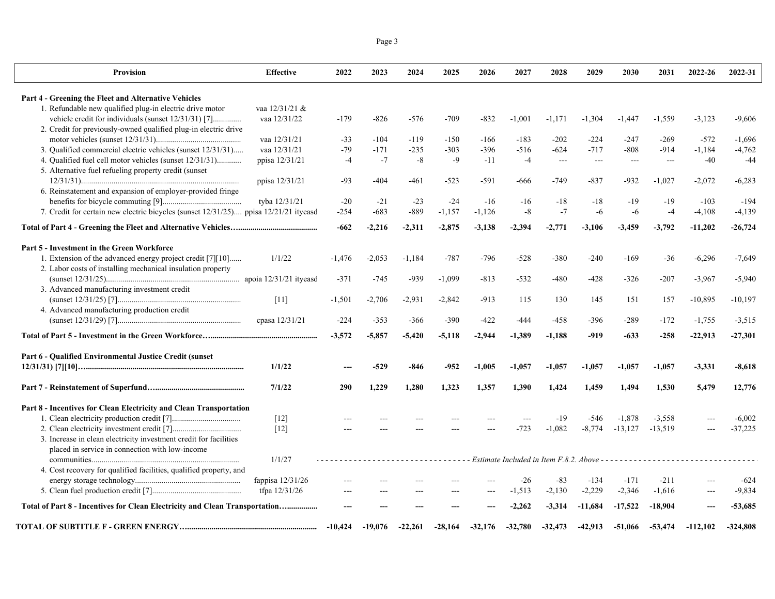| Provision                                                                            | <b>Effective</b>   | 2022     | 2023     | 2024      | 2025     | 2026                | 2027      | 2028      | 2029      | 2030                                                         | 2031      | 2022-26    | 2022-31    |
|--------------------------------------------------------------------------------------|--------------------|----------|----------|-----------|----------|---------------------|-----------|-----------|-----------|--------------------------------------------------------------|-----------|------------|------------|
| Part 4 - Greening the Fleet and Alternative Vehicles                                 |                    |          |          |           |          |                     |           |           |           |                                                              |           |            |            |
| 1. Refundable new qualified plug-in electric drive motor                             | vaa 12/31/21 &     |          |          |           |          |                     |           |           |           |                                                              |           |            |            |
| vehicle credit for individuals (sunset 12/31/31) [7]                                 | vaa 12/31/22       | $-179$   | $-826$   | $-576$    | $-709$   | $-832$              | $-1,001$  | $-1,171$  | $-1,304$  | $-1,447$                                                     | $-1,559$  | $-3,123$   | $-9,606$   |
| 2. Credit for previously-owned qualified plug-in electric drive                      |                    |          |          |           |          |                     |           |           |           |                                                              |           |            |            |
|                                                                                      | vaa 12/31/21       | $-33$    | $-104$   | $-119$    | $-150$   | $-166$              | $-183$    | $-202$    | $-224$    | $-247$                                                       | $-269$    | $-572$     | $-1,696$   |
| 3. Qualified commercial electric vehicles (sunset 12/31/31)                          | vaa 12/31/21       | $-79$    | $-171$   | $-235$    | $-303$   | $-396$              | $-516$    | $-624$    | $-717$    | $-808$                                                       | $-914$    | $-1,184$   | $-4,762$   |
| 4. Qualified fuel cell motor vehicles (sunset 12/31/31)                              | ppisa 12/31/21     | $-4$     | $-7$     | $-8$      | $-9$     | $-11$               | $-4$      | $---$     | $---$     | $---$                                                        | $---$     | $-40$      | $-44$      |
| 5. Alternative fuel refueling property credit (sunset                                |                    |          |          |           |          |                     |           |           |           |                                                              |           |            |            |
|                                                                                      | ppisa 12/31/21     | -93      | $-404$   | $-461$    | $-523$   | $-591$              | $-666$    | $-749$    | $-837$    | $-932$                                                       | $-1.027$  | $-2,072$   | $-6,283$   |
| 6. Reinstatement and expansion of employer-provided fringe                           |                    |          |          |           |          |                     |           |           |           |                                                              |           |            |            |
|                                                                                      | tyba 12/31/21      | $-20$    | $-21$    | $-23$     | $-24$    | $-16$               | $-16$     | $-18$     | $-18$     | $-19$                                                        | $-19$     | $-103$     | $-194$     |
| 7. Credit for certain new electric bicycles (sunset 12/31/25) ppisa 12/21/21 ityeasd |                    | $-254$   | $-683$   | $-889$    | $-1,157$ | $-1,126$            | $-8$      | $-7$      | $-6$      | $-6$                                                         | $-4$      | $-4,108$   | $-4,139$   |
|                                                                                      |                    | $-662$   | $-2,216$ | $-2,311$  | $-2,875$ | $-3,138$            | $-2,394$  | $-2,771$  | $-3,106$  | $-3,459$                                                     | $-3,792$  | $-11,202$  | $-26,724$  |
| Part 5 - Investment in the Green Workforce                                           |                    |          |          |           |          |                     |           |           |           |                                                              |           |            |            |
| 1. Extension of the advanced energy project credit [7][10]                           | 1/1/22             | $-1,476$ | $-2,053$ | $-1,184$  | $-787$   | -796                | $-528$    | -380      | $-240$    | $-169$                                                       | $-36$     | $-6,296$   | $-7,649$   |
| 2. Labor costs of installing mechanical insulation property                          |                    |          |          |           |          |                     |           |           |           |                                                              |           |            |            |
|                                                                                      |                    | $-371$   | $-745$   | $-939$    | $-1,099$ | $-813$              | $-532$    | -480      | $-428$    | $-326$                                                       | $-207$    | $-3,967$   | $-5,940$   |
| 3. Advanced manufacturing investment credit                                          |                    |          |          |           |          |                     |           |           |           |                                                              |           |            |            |
|                                                                                      | $[11]$             | $-1,501$ | $-2,706$ | $-2,931$  | $-2,842$ | $-913$              | 115       | 130       | 145       | 151                                                          | 157       | $-10,895$  | $-10,197$  |
| 4. Advanced manufacturing production credit                                          |                    |          |          |           |          |                     |           |           |           |                                                              |           |            |            |
|                                                                                      | cpasa 12/31/21     | $-224$   | $-353$   | $-366$    | $-390$   | $-422$              | $-444$    | $-458$    | $-396$    | $-289$                                                       | $-172$    | $-1,755$   | $-3,515$   |
|                                                                                      |                    |          |          |           |          |                     |           |           |           |                                                              |           |            |            |
|                                                                                      |                    | $-3,572$ | $-5,857$ | $-5,420$  | $-5,118$ | $-2,944$            | -1,389    | $-1,188$  | $-919$    | $-633$                                                       | $-258$    | $-22,913$  | $-27,301$  |
| Part 6 - Qualified Environmental Justice Credit (sunset                              |                    |          |          |           |          |                     |           |           |           |                                                              |           |            |            |
|                                                                                      | 1/1/22             |          | $-529$   | $-846$    | $-952$   | $-1,005$            | $-1,057$  | $-1,057$  | $-1,057$  | $-1,057$                                                     | $-1,057$  | $-3,331$   | $-8,618$   |
|                                                                                      | 7/1/22             | 290      | 1,229    | 1,280     | 1,323    | 1,357               | 1,390     | 1,424     | 1,459     | 1,494                                                        | 1,530     | 5,479      | 12,776     |
| Part 8 - Incentives for Clean Electricity and Clean Transportation                   |                    |          |          |           |          |                     |           |           |           |                                                              |           |            |            |
|                                                                                      | $[12]$             |          |          |           |          |                     |           | $-19$     | $-546$    | $-1,878$                                                     | $-3,558$  |            | $-6,002$   |
|                                                                                      | $\lceil 12 \rceil$ |          |          |           |          |                     | $-723$    | $-1.082$  | $-8,774$  | $-13.127$                                                    | $-13.519$ |            | $-37.225$  |
| 3. Increase in clean electricity investment credit for facilities                    |                    |          |          |           |          |                     |           |           |           |                                                              |           |            |            |
| placed in service in connection with low-income                                      |                    |          |          |           |          |                     |           |           |           |                                                              |           |            |            |
|                                                                                      | 1/1/27             |          |          |           |          |                     |           |           |           | - Estimate Included in Item F.8.2. Above - - - - - - - - - - |           |            |            |
| 4. Cost recovery for qualified facilities, qualified property, and                   |                    |          |          |           |          |                     |           |           |           |                                                              |           |            |            |
|                                                                                      | fappisa $12/31/26$ |          |          |           |          |                     | -26       | $-83$     | $-134$    | $-171$                                                       | $-211$    |            | $-624$     |
|                                                                                      | tfpa 12/31/26      |          |          |           |          |                     | $-1,513$  | $-2,130$  | $-2,229$  | $-2,346$                                                     | $-1,616$  |            | $-9,834$   |
| Total of Part 8 - Incentives for Clean Electricity and Clean Transportation          |                    |          |          |           |          |                     | $-2,262$  | $-3,314$  | $-11,684$ | $-17,522$                                                    | $-18,904$ |            | $-53,685$  |
|                                                                                      |                    | -10,424  | -19.076  | $-22,261$ |          | $-28,164$ $-32,176$ | $-32,780$ | $-32,473$ | -42,913   | -51,066                                                      | -53,474   | $-112.102$ | $-324,808$ |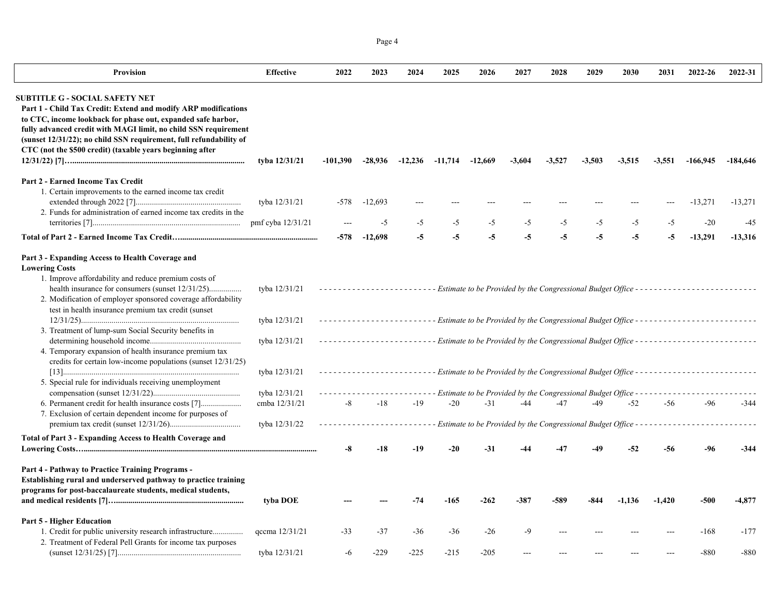| Provision                                                                                                                                                                                                                                                                                                                                                                                                                                                                                                                                                                                                            | <b>Effective</b>                                                                                                    | 2022       | 2023      | 2024           | 2025            | 2026                                                                    | 2027                    | 2028     | 2029          | 2030                                                                        | 2031              | 2022-26                                                                                                                                                                                                                                                                                                                                                                                                                                                             | 2022-31            |
|----------------------------------------------------------------------------------------------------------------------------------------------------------------------------------------------------------------------------------------------------------------------------------------------------------------------------------------------------------------------------------------------------------------------------------------------------------------------------------------------------------------------------------------------------------------------------------------------------------------------|---------------------------------------------------------------------------------------------------------------------|------------|-----------|----------------|-----------------|-------------------------------------------------------------------------|-------------------------|----------|---------------|-----------------------------------------------------------------------------|-------------------|---------------------------------------------------------------------------------------------------------------------------------------------------------------------------------------------------------------------------------------------------------------------------------------------------------------------------------------------------------------------------------------------------------------------------------------------------------------------|--------------------|
| <b>SUBTITLE G - SOCIAL SAFETY NET</b><br>Part 1 - Child Tax Credit: Extend and modify ARP modifications<br>to CTC, income lookback for phase out, expanded safe harbor,<br>fully advanced credit with MAGI limit, no child SSN requirement<br>(sunset 12/31/22); no child SSN requirement, full refundability of<br>CTC (not the \$500 credit) (taxable years beginning after                                                                                                                                                                                                                                        | tyba 12/31/21                                                                                                       | $-101,390$ | -28,936   | $-12,236$      | $-11,714$       | $-12,669$                                                               | -3,604                  | $-3,527$ | $-3,503$      | $-3,515$                                                                    | $-3,551$          | $-166,945$                                                                                                                                                                                                                                                                                                                                                                                                                                                          | -184,646           |
| Part 2 - Earned Income Tax Credit                                                                                                                                                                                                                                                                                                                                                                                                                                                                                                                                                                                    |                                                                                                                     |            |           |                |                 |                                                                         |                         |          |               |                                                                             |                   |                                                                                                                                                                                                                                                                                                                                                                                                                                                                     |                    |
| 1. Certain improvements to the earned income tax credit<br>2. Funds for administration of earned income tax credits in the                                                                                                                                                                                                                                                                                                                                                                                                                                                                                           | tyba 12/31/21                                                                                                       | $-578$     | $-12,693$ |                |                 |                                                                         |                         |          |               |                                                                             |                   | $-13,271$                                                                                                                                                                                                                                                                                                                                                                                                                                                           | $-13,271$          |
|                                                                                                                                                                                                                                                                                                                                                                                                                                                                                                                                                                                                                      | pmf cyba 12/31/21                                                                                                   |            | $-5$      | $-5$           | $-5$            | $-5$                                                                    | $-5$                    | $-5$     | $-5$          | $-5$                                                                        | $-5$              | $-20$                                                                                                                                                                                                                                                                                                                                                                                                                                                               | $-4.5$             |
|                                                                                                                                                                                                                                                                                                                                                                                                                                                                                                                                                                                                                      |                                                                                                                     | -578       | $-12,698$ | $-5$           | $-5$            | $-5$                                                                    | $-5$                    | $-5$     | $-5$          | $-5$                                                                        | -5                | $-13,291$                                                                                                                                                                                                                                                                                                                                                                                                                                                           | $-13,316$          |
| Part 3 - Expanding Access to Health Coverage and<br><b>Lowering Costs</b><br>1. Improve affordability and reduce premium costs of<br>health insurance for consumers (sunset 12/31/25)<br>2. Modification of employer sponsored coverage affordability<br>test in health insurance premium tax credit (sunset<br>3. Treatment of lump-sum Social Security benefits in<br>4. Temporary expansion of health insurance premium tax<br>credits for certain low-income populations (sunset 12/31/25)<br>5. Special rule for individuals receiving unemployment<br>7. Exclusion of certain dependent income for purposes of | tyba 12/31/21<br>tyba 12/31/21<br>tyba 12/31/21<br>tyba 12/31/21<br>tyba 12/31/21<br>cmba 12/31/21<br>tyba 12/31/22 | $-8$       | $-18$     | $-19$          | $-20$           | - Estimate to be Provided by the Congressional Budget Office -<br>$-31$ | $-44$                   | $-47$    | -49           | $-52$<br>- Estimate to be Provided by the Congressional Budget Office - - - | -56               | ---------------------- Estimate to be Provided by the Congressional Budget Office ------------------------<br>----------------------- Estimate to be Provided by the Congressional Budget Office --------------------------<br>----------------------Estimate to be Provided by the Congressional Budget Office -------------------------<br>----------------------- Estimate to be Provided by the Congressional Budget Office --------------------------<br>$-96$ | $-344$             |
| Total of Part 3 - Expanding Access to Health Coverage and                                                                                                                                                                                                                                                                                                                                                                                                                                                                                                                                                            |                                                                                                                     |            |           |                |                 |                                                                         |                         |          |               |                                                                             |                   |                                                                                                                                                                                                                                                                                                                                                                                                                                                                     |                    |
| Part 4 - Pathway to Practice Training Programs -<br>Establishing rural and underserved pathway to practice training<br>programs for post-baccalaureate students, medical students,<br><b>Part 5 - Higher Education</b>                                                                                                                                                                                                                                                                                                                                                                                               | tyba DOE                                                                                                            | -8         | $-18$     | $-19$<br>$-74$ | $-20$<br>$-165$ | -31<br>$-262$                                                           | $-387$                  | $-589$   | -49<br>$-844$ | $-52$<br>$-1,136$                                                           | $-56$<br>$-1.420$ | -96<br>$-500$                                                                                                                                                                                                                                                                                                                                                                                                                                                       | $-344$<br>$-4,877$ |
| 1. Credit for public university research infrastructure                                                                                                                                                                                                                                                                                                                                                                                                                                                                                                                                                              | qccma 12/31/21                                                                                                      | $-33$      | $-37$     | $-36$          | -36             | -26                                                                     | $\overline{\mathsf{q}}$ |          |               |                                                                             |                   | -168                                                                                                                                                                                                                                                                                                                                                                                                                                                                | $-177$             |
| 2. Treatment of Federal Pell Grants for income tax purposes                                                                                                                                                                                                                                                                                                                                                                                                                                                                                                                                                          | tyba 12/31/21                                                                                                       | -6         | $-229$    | $-225$         | $-215$          | $-205$                                                                  |                         |          |               |                                                                             |                   | $-880$                                                                                                                                                                                                                                                                                                                                                                                                                                                              | $-880$             |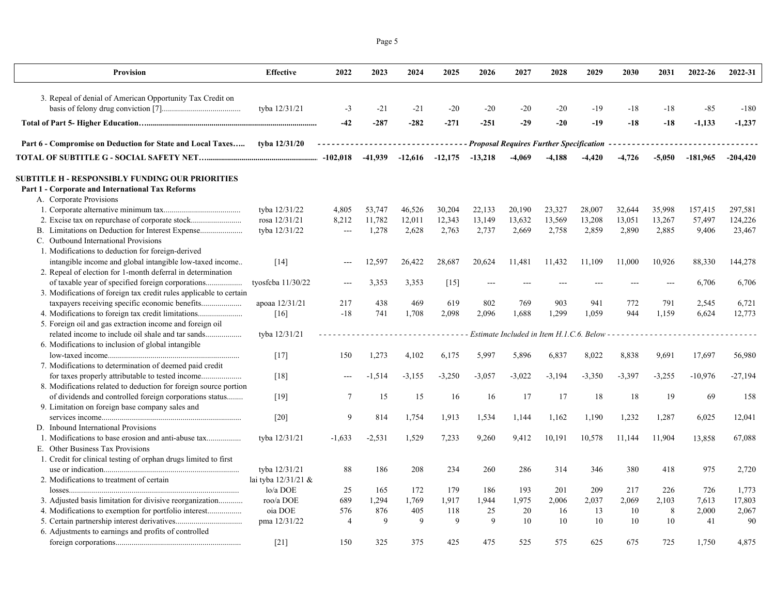|--|--|--|--|

| Provision                                                          | <b>Effective</b>    | 2022                                                                     | 2023     | 2024     | 2025                | 2026      | 2027     | 2028                                       | 2029     | 2030     | 2031     | 2022-26   | 2022-31    |
|--------------------------------------------------------------------|---------------------|--------------------------------------------------------------------------|----------|----------|---------------------|-----------|----------|--------------------------------------------|----------|----------|----------|-----------|------------|
| 3. Repeal of denial of American Opportunity Tax Credit on          |                     |                                                                          |          |          |                     |           |          |                                            |          |          |          |           |            |
|                                                                    | tyba 12/31/21       | $-3$                                                                     | $-21$    | $-21$    | $-20$               | $-20$     | $-20$    | $-20$                                      | -19      | $-18$    | $-18$    | $-85$     | $-180$     |
|                                                                    |                     | $-42$                                                                    | $-287$   | $-282$   | $-271$              | $-251$    | $-29$    | $-20$                                      | $-19$    | $-18$    | $-18$    | $-1,133$  | $-1,237$   |
|                                                                    |                     |                                                                          |          |          |                     |           |          |                                            |          |          |          |           |            |
| Part 6 - Compromise on Deduction for State and Local Taxes         | tyba 12/31/20       | ------------------------------ Proposal Requires Further Specification - |          |          |                     |           |          |                                            |          |          | .        |           |            |
|                                                                    |                     |                                                                          | -41,939  |          | $-12,616$ $-12,175$ | $-13,218$ | $-4.069$ | $-4,188$                                   | $-4,420$ | $-4,726$ | $-5,050$ | -181,965  | $-204,420$ |
| <b>SUBTITLE H - RESPONSIBLY FUNDING OUR PRIORITIES</b>             |                     |                                                                          |          |          |                     |           |          |                                            |          |          |          |           |            |
| Part 1 - Corporate and International Tax Reforms                   |                     |                                                                          |          |          |                     |           |          |                                            |          |          |          |           |            |
| A. Corporate Provisions                                            |                     |                                                                          |          |          |                     |           |          |                                            |          |          |          |           |            |
|                                                                    | tyba 12/31/22       | 4,805                                                                    | 53,747   | 46,526   | 30,204              | 22,133    | 20,190   | 23,327                                     | 28,007   | 32,644   | 35,998   | 157,415   | 297,581    |
|                                                                    | rosa 12/31/21       | 8,212                                                                    | 11,782   | 12,011   | 12,343              | 13,149    | 13,632   | 13,569                                     | 13,208   | 13,051   | 13,267   | 57,497    | 124,226    |
| B. Limitations on Deduction for Interest Expense                   | tyba 12/31/22       | $\overline{a}$                                                           | 1,278    | 2,628    | 2,763               | 2,737     | 2,669    | 2,758                                      | 2,859    | 2,890    | 2,885    | 9,406     | 23,467     |
| C. Outbound International Provisions                               |                     |                                                                          |          |          |                     |           |          |                                            |          |          |          |           |            |
| 1. Modifications to deduction for foreign-derived                  |                     |                                                                          |          |          |                     |           |          |                                            |          |          |          |           |            |
| intangible income and global intangible low-taxed income           | $[14]$              | ---                                                                      | 12,597   | 26,422   | 28,687              | 20,624    | 11,481   | 11,432                                     | 11,109   | 11,000   | 10,926   | 88,330    | 144,278    |
| 2. Repeal of election for 1-month deferral in determination        |                     |                                                                          |          |          |                     |           |          |                                            |          |          |          |           |            |
| of taxable year of specified foreign corporations                  | tyosfcba 11/30/22   | $\sim$                                                                   | 3,353    | 3,353    | $[15]$              |           |          |                                            |          |          | $---$    | 6,706     | 6,706      |
| 3. Modifications of foreign tax credit rules applicable to certain |                     |                                                                          |          |          |                     |           |          |                                            |          |          |          |           |            |
| taxpayers receiving specific economic benefits                     | apoaa 12/31/21      | 217                                                                      | 438      | 469      | 619                 | 802       | 769      | 903                                        | 941      | 772      | 791      | 2,545     | 6,721      |
| 4. Modifications to foreign tax credit limitations                 | $[16]$              | $-18$                                                                    | 741      | 1,708    | 2,098               | 2,096     | 1,688    | 1,299                                      | 1,059    | 944      | 1,159    | 6,624     | 12,773     |
| 5. Foreign oil and gas extraction income and foreign oil           |                     |                                                                          |          |          |                     |           |          |                                            |          |          |          |           |            |
| related income to include oil shale and tar sands                  | tyba 12/31/21       |                                                                          |          |          |                     |           |          | Estimate Included in Item H.1.C.6. Below - |          |          |          |           |            |
| 6. Modifications to inclusion of global intangible                 |                     |                                                                          |          |          |                     |           |          |                                            |          |          |          |           |            |
|                                                                    | [17]                | 150                                                                      | 1,273    | 4,102    | 6,175               | 5,997     | 5,896    | 6,837                                      | 8,022    | 8,838    | 9,691    | 17,697    | 56,980     |
| 7. Modifications to determination of deemed paid credit            |                     |                                                                          |          |          |                     |           |          |                                            |          |          |          |           |            |
| for taxes properly attributable to tested income                   | [18]                | ---                                                                      | $-1,514$ | $-3,155$ | $-3,250$            | $-3,057$  | $-3,022$ | $-3,194$                                   | $-3,350$ | $-3,397$ | $-3,255$ | $-10,976$ | $-27,194$  |
| 8. Modifications related to deduction for foreign source portion   |                     |                                                                          |          |          |                     |           |          |                                            |          |          |          |           |            |
| of dividends and controlled foreign corporations status            | $[19]$              | -7                                                                       | 15       | 15       | 16                  | 16        | 17       | 17                                         | 18       | 18       | 19       | 69        | 158        |
| 9. Limitation on foreign base company sales and                    |                     |                                                                          |          |          |                     |           |          |                                            |          |          |          |           |            |
|                                                                    | [20]                | $\mathbf{Q}$                                                             | 814      | 1,754    | 1,913               | 1,534     | 1,144    | 1,162                                      | 1,190    | 1,232    | 1,287    | 6,025     | 12,041     |
| D. Inbound International Provisions                                |                     |                                                                          |          |          |                     |           |          |                                            |          |          |          |           |            |
|                                                                    | tyba 12/31/21       | $-1,633$                                                                 | $-2,531$ | 1,529    | 7,233               | 9,260     | 9,412    | 10,191                                     | 10,578   | 11,144   | 11,904   | 13,858    | 67,088     |
| E. Other Business Tax Provisions                                   |                     |                                                                          |          |          |                     |           |          |                                            |          |          |          |           |            |
| 1. Credit for clinical testing of orphan drugs limited to first    |                     |                                                                          |          |          |                     |           |          |                                            |          |          |          |           |            |
|                                                                    | tyba 12/31/21       | 88                                                                       | 186      | 208      | 234                 | 260       | 286      | 314                                        | 346      | 380      | 418      | 975       | 2,720      |
| 2. Modifications to treatment of certain                           | lai tyba 12/31/21 & |                                                                          |          |          |                     |           |          |                                            |          |          |          |           |            |
|                                                                    | lo/a DOE            | 25                                                                       | 165      | 172      | 179                 | 186       | 193      | 201                                        | 209      | 217      | 226      | 726       | 1,773      |
| 3. Adjusted basis limitation for divisive reorganization           | roo/a DOE           | 689                                                                      | 1,294    | 1,769    | 1,917               | 1,944     | 1,975    | 2,006                                      | 2,037    | 2,069    | 2,103    | 7,613     | 17,803     |
| 4. Modifications to exemption for portfolio interest               | oia DOE             | 576                                                                      | 876      | 405      | 118                 | 25        | 20       | 16                                         | 13       | 10       | 8        | 2,000     | 2,067      |
|                                                                    | pma 12/31/22        | $\overline{4}$                                                           | 9        | 9        | 9                   | 9         | 10       | 10                                         | 10       | 10       | 10       | 41        | 90         |
| 6. Adjustments to earnings and profits of controlled               |                     |                                                                          |          |          |                     |           |          |                                            |          |          |          |           |            |
|                                                                    | $[21]$              | 150                                                                      | 325      | 375      | 425                 | 475       | 525      | 575                                        | 625      | 675      | 725      | 1.750     | 4,875      |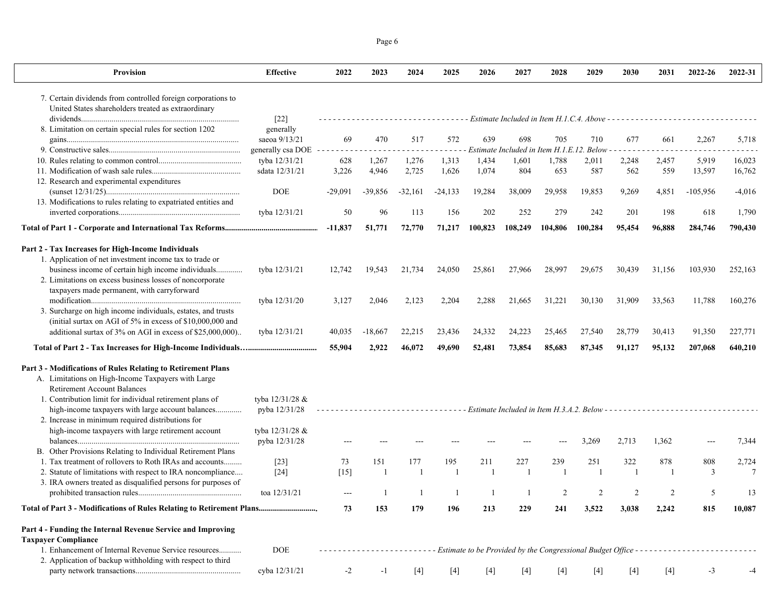| Provision                                                             | <b>Effective</b>  | 2022      | 2023      | 2024      | 2025      | 2026           | 2027    | 2028    | 2029                                                                                          | 2030   | 2031   | $2022 - 26$ | 2022-31  |
|-----------------------------------------------------------------------|-------------------|-----------|-----------|-----------|-----------|----------------|---------|---------|-----------------------------------------------------------------------------------------------|--------|--------|-------------|----------|
| 7. Certain dividends from controlled foreign corporations to          |                   |           |           |           |           |                |         |         |                                                                                               |        |        |             |          |
| United States shareholders treated as extraordinary                   |                   |           |           |           |           |                |         |         |                                                                                               |        |        |             |          |
|                                                                       | $[22]$            |           |           |           |           |                |         |         | Estimate Included in Item H.1.C.4. Above -                                                    |        |        |             |          |
| 8. Limitation on certain special rules for section 1202               | generally         |           |           |           |           |                |         |         |                                                                                               |        |        |             |          |
|                                                                       | saeoa 9/13/21     | 69        | 470       | 517       | 572       | 639            | 698     | 705     | 710                                                                                           | 677    | 661    | 2,267       | 5,718    |
|                                                                       | generally csa DOE |           |           |           |           |                |         |         | Estimate Included in Item H.1.E.12. Below                                                     |        |        |             |          |
|                                                                       | tyba 12/31/21     | 628       | 1,267     | 1,276     | 1,313     | 1,434          | 1,601   | 1,788   | 2,011                                                                                         | 2,248  | 2,457  | 5,919       | 16,023   |
|                                                                       | sdata 12/31/21    | 3,226     | 4,946     | 2,725     | 1,626     | 1,074          | 804     | 653     | 587                                                                                           | 562    | 559    | 13,597      | 16,762   |
| 12. Research and experimental expenditures                            |                   |           |           |           |           |                |         |         |                                                                                               |        |        |             |          |
|                                                                       | <b>DOE</b>        | -29,091   | $-39,856$ | $-32,161$ | $-24,133$ | 19,284         | 38,009  | 29,958  | 19,853                                                                                        | 9,269  | 4,851  | $-105,956$  | $-4,016$ |
| 13. Modifications to rules relating to expatriated entities and       |                   |           |           |           |           |                |         |         |                                                                                               |        |        |             |          |
|                                                                       | tyba 12/31/21     | 50        | 96        | 113       | 156       | 202            | 252     | 279     | 242                                                                                           | 201    | 198    | 618         | 1,790    |
|                                                                       |                   |           |           |           |           |                |         |         |                                                                                               |        |        |             |          |
|                                                                       |                   | $-11,837$ | 51,771    | 72,770    | 71,217    | 100,823        | 108,249 | 104,806 | 100,284                                                                                       | 95,454 | 96,888 | 284,746     | 790,430  |
| Part 2 - Tax Increases for High-Income Individuals                    |                   |           |           |           |           |                |         |         |                                                                                               |        |        |             |          |
| 1. Application of net investment income tax to trade or               |                   |           |           |           |           |                |         |         |                                                                                               |        |        |             |          |
| business income of certain high income individuals                    | tyba 12/31/21     | 12,742    | 19,543    | 21,734    | 24,050    | 25,861         | 27,966  | 28,997  | 29,675                                                                                        | 30,439 | 31,156 | 103,930     | 252,163  |
| 2. Limitations on excess business losses of noncorporate              |                   |           |           |           |           |                |         |         |                                                                                               |        |        |             |          |
| taxpayers made permanent, with carryforward                           |                   |           |           |           |           |                |         |         |                                                                                               |        |        |             |          |
|                                                                       | tyba 12/31/20     | 3,127     | 2,046     | 2,123     | 2,204     | 2,288          | 21,665  | 31,221  | 30,130                                                                                        | 31,909 | 33,563 | 11,788      | 160,276  |
| 3. Surcharge on high income individuals, estates, and trusts          |                   |           |           |           |           |                |         |         |                                                                                               |        |        |             |          |
| (initial surtax on AGI of 5% in excess of \$10,000,000 and            |                   |           |           |           |           |                |         |         |                                                                                               |        |        |             |          |
| additional surtax of 3% on AGI in excess of \$25,000,000).            | tyba 12/31/21     | 40,035    | $-18,667$ | 22,215    | 23,436    | 24,332         | 24,223  | 25,465  | 27,540                                                                                        | 28,779 | 30,413 | 91,350      | 227,771  |
|                                                                       |                   | 55,904    | 2,922     | 46,072    | 49,690    | 52,481         | 73,854  | 85,683  | 87,345                                                                                        | 91,127 | 95,132 | 207,068     | 640,210  |
| Part 3 - Modifications of Rules Relating to Retirement Plans          |                   |           |           |           |           |                |         |         |                                                                                               |        |        |             |          |
| A. Limitations on High-Income Taxpayers with Large                    |                   |           |           |           |           |                |         |         |                                                                                               |        |        |             |          |
| <b>Retirement Account Balances</b>                                    |                   |           |           |           |           |                |         |         |                                                                                               |        |        |             |          |
| 1. Contribution limit for individual retirement plans of              | tyba 12/31/28 &   |           |           |           |           |                |         |         |                                                                                               |        |        |             |          |
| high-income taxpayers with large account balances                     | pyba 12/31/28     |           |           |           |           |                |         |         | -----------------------------Estimate Included in Item H.3.A.2. Below ----------------------- |        |        |             |          |
| 2. Increase in minimum required distributions for                     |                   |           |           |           |           |                |         |         |                                                                                               |        |        |             |          |
| high-income taxpayers with large retirement account                   | tyba 12/31/28 &   |           |           |           |           |                |         |         |                                                                                               |        |        |             |          |
|                                                                       | pyba 12/31/28     |           |           |           |           |                |         |         | 3,269                                                                                         | 2,713  | 1,362  |             | 7,344    |
| B. Other Provisions Relating to Individual Retirement Plans           |                   |           |           |           |           |                |         |         |                                                                                               |        |        |             |          |
| 1. Tax treatment of rollovers to Roth IRAs and accounts               | $[23]$            | 73        | 151       | 177       | 195       | 211            | 227     | 239     | 251                                                                                           | 322    | 878    | 808         | 2,724    |
| 2. Statute of limitations with respect to IRA noncompliance           | $[24]$            | $[15]$    |           | - 1       |           | $\overline{1}$ |         |         | $\overline{1}$                                                                                |        | - 1    | 3           | 7        |
| 3. IRA owners treated as disqualified persons for purposes of         |                   |           |           |           |           |                |         |         |                                                                                               |        |        |             |          |
|                                                                       | toa 12/31/21      |           |           |           |           |                |         |         | 2                                                                                             |        |        |             |          |
| Total of Part 3 - Modifications of Rules Relating to Retirement Plans |                   | 73        | 153       | 179       | 196       | 213            | 229     | 241     | 3,522                                                                                         | 3,038  | 2,242  | 815         | 10,087   |
|                                                                       |                   |           |           |           |           |                |         |         |                                                                                               |        |        |             |          |
| Part 4 - Funding the Internal Revenue Service and Improving           |                   |           |           |           |           |                |         |         |                                                                                               |        |        |             |          |
| <b>Taxpayer Compliance</b>                                            |                   |           |           |           |           |                |         |         |                                                                                               |        |        |             |          |
| 1. Enhancement of Internal Revenue Service resources                  | <b>DOE</b>        |           |           |           |           |                |         |         | ------ Estimate to be Provided by the Congressional Budget Office ---------                   |        |        |             |          |
| 2. Application of backup withholding with respect to third            |                   |           |           |           |           |                |         |         |                                                                                               |        |        |             |          |
|                                                                       | cyba 12/31/21     | $-2$      | $-1$      | $[4]$     | $[4]$     | $[4]$          | $[4]$   | $[4]$   | $[4]$                                                                                         | $[4]$  | $[4]$  | $-3$        |          |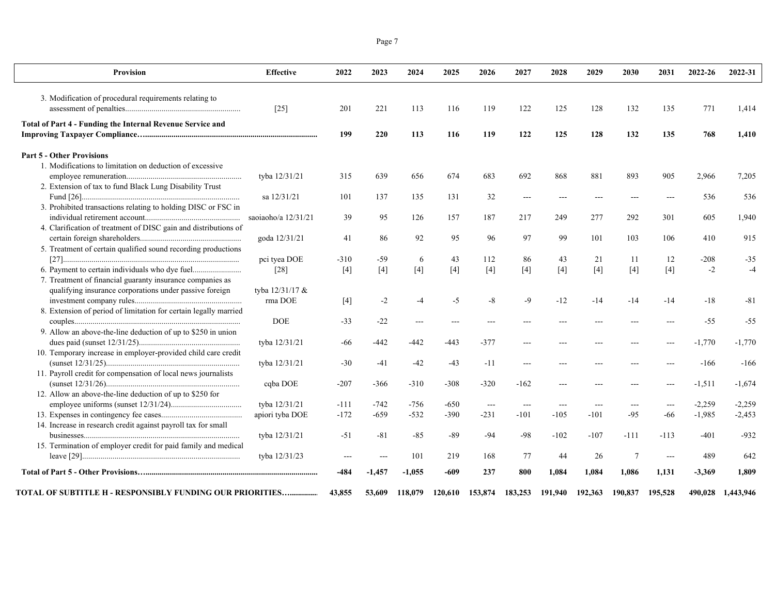| Provision                                                        | <b>Effective</b>      | 2022   | 2023     | 2024                                                                                                                                                                                                                                             | 2025    | 2026    | 2027    | 2028    | 2029    | 2030    | 2031    | 2022-26  | 2022-31           |
|------------------------------------------------------------------|-----------------------|--------|----------|--------------------------------------------------------------------------------------------------------------------------------------------------------------------------------------------------------------------------------------------------|---------|---------|---------|---------|---------|---------|---------|----------|-------------------|
| 3. Modification of procedural requirements relating to           |                       |        |          |                                                                                                                                                                                                                                                  |         |         |         |         |         |         |         |          |                   |
|                                                                  | $[25]$                | 201    | 221      | 113                                                                                                                                                                                                                                              | 116     | 119     | 122     | 125     | 128     | 132     | 135     | 771      | 1,414             |
| Total of Part 4 - Funding the Internal Revenue Service and       |                       |        |          |                                                                                                                                                                                                                                                  |         |         |         |         |         |         |         |          |                   |
|                                                                  |                       | 199    | 220      | 113                                                                                                                                                                                                                                              | 116     | 119     | 122     | 125     | 128     | 132     | 135     | 768      | 1,410             |
| <b>Part 5 - Other Provisions</b>                                 |                       |        |          |                                                                                                                                                                                                                                                  |         |         |         |         |         |         |         |          |                   |
| 1. Modifications to limitation on deduction of excessive         |                       |        |          |                                                                                                                                                                                                                                                  |         |         |         |         |         |         |         |          |                   |
|                                                                  | tyba 12/31/21         | 315    | 639      | 656                                                                                                                                                                                                                                              | 674     | 683     | 692     | 868     | 881     | 893     | 905     | 2,966    | 7,205             |
| 2. Extension of tax to fund Black Lung Disability Trust          |                       |        |          |                                                                                                                                                                                                                                                  |         |         |         |         |         |         |         |          |                   |
|                                                                  | sa 12/31/21           | 101    | 137      | 135                                                                                                                                                                                                                                              | 131     | 32      | $--$    | ---     | $---$   | $---$   | $---$   | 536      | 536               |
| 3. Prohibited transactions relating to holding DISC or FSC in    |                       |        |          |                                                                                                                                                                                                                                                  |         |         |         |         |         |         |         |          |                   |
|                                                                  | saoiaoho/a $12/31/21$ | 39     | 95       | 126                                                                                                                                                                                                                                              | 157     | 187     | 217     | 249     | 277     | 292     | 301     | 605      | 1,940             |
| 4. Clarification of treatment of DISC gain and distributions of  |                       |        |          |                                                                                                                                                                                                                                                  |         |         |         |         |         |         |         |          |                   |
|                                                                  | goda 12/31/21         | 41     | 86       | 92                                                                                                                                                                                                                                               | 95      | 96      | 97      | 99      | 101     | 103     | 106     | 410      | 915               |
| 5. Treatment of certain qualified sound recording productions    |                       |        |          |                                                                                                                                                                                                                                                  |         |         |         |         |         |         |         |          |                   |
|                                                                  | pci tyea DOE          | $-310$ | -59      | 6                                                                                                                                                                                                                                                | 43      | 112     | 86      | 43      | 21      | 11      | 12      | $-208$   | $-35$             |
| 6. Payment to certain individuals who dye fuel                   | $[28]$                | $[4]$  | $[4]$    | $[4] % \begin{center} \includegraphics[width=\linewidth]{imagesSupplemental/Imetad-Architecture.png} \end{center} % \vspace{-1em} \caption{The image shows the number of parameters of the estimators in the left and right.} \label{fig:lim} %$ | $[4]$   | $[4]$   | $[4]$   | $[4]$   | $[4]$   | $[4]$   | $[4]$   | $-2$     | $-4$              |
| 7. Treatment of financial guaranty insurance companies as        |                       |        |          |                                                                                                                                                                                                                                                  |         |         |         |         |         |         |         |          |                   |
| qualifying insurance corporations under passive foreign          | tyba 12/31/17 &       |        |          |                                                                                                                                                                                                                                                  |         |         |         |         |         |         |         |          |                   |
|                                                                  | rma DOE               | $[4]$  | $-2$     | $-4$                                                                                                                                                                                                                                             | $-5$    | $-8$    | $-9$    | $-12$   | $-14$   | $-14$   | -14     | $-18$    | $-81$             |
| 8. Extension of period of limitation for certain legally married |                       |        |          |                                                                                                                                                                                                                                                  |         |         |         |         |         |         |         |          |                   |
|                                                                  | <b>DOE</b>            | $-33$  | $-22$    | $  -$                                                                                                                                                                                                                                            | ---     |         |         |         |         |         |         | $-55$    | $-55$             |
| 9. Allow an above-the-line deduction of up to \$250 in union     |                       |        |          |                                                                                                                                                                                                                                                  |         |         |         |         |         |         |         |          |                   |
|                                                                  | tyba 12/31/21         | -66    | $-442$   | -442                                                                                                                                                                                                                                             | $-443$  | $-377$  | ---     | $- - -$ | $- - -$ | ---     | $- - -$ | $-1,770$ | $-1,770$          |
| 10. Temporary increase in employer-provided child care credit    |                       |        |          |                                                                                                                                                                                                                                                  |         |         |         |         |         |         |         |          |                   |
|                                                                  | tyba 12/31/21         | $-30$  | -41      | $-42$                                                                                                                                                                                                                                            | -43     | -11     |         |         |         |         |         | $-166$   | $-166$            |
| 11. Payroll credit for compensation of local news journalists    |                       |        |          |                                                                                                                                                                                                                                                  |         |         |         |         |         |         |         |          |                   |
|                                                                  | cqba DOE              | $-207$ | $-366$   | $-310$                                                                                                                                                                                                                                           | $-308$  | $-320$  | $-162$  |         |         |         |         | $-1,511$ | $-1,674$          |
| 12. Allow an above-the-line deduction of up to \$250 for         |                       |        |          |                                                                                                                                                                                                                                                  |         |         |         |         |         |         |         |          |                   |
|                                                                  | tyba 12/31/21         | $-111$ | $-742$   | $-756$                                                                                                                                                                                                                                           | $-650$  | $---$   | $---$   | $---$   | $---$   | $  -$   |         | $-2,259$ | $-2,259$          |
|                                                                  | apiori tyba DOE       | $-172$ | $-659$   | $-532$                                                                                                                                                                                                                                           | $-390$  | $-231$  | $-101$  | $-105$  | $-101$  | $-95$   | -66     | $-1,985$ | $-2,453$          |
| 14. Increase in research credit against payroll tax for small    |                       |        |          |                                                                                                                                                                                                                                                  |         |         |         |         |         |         |         |          |                   |
|                                                                  | tyba 12/31/21         | $-51$  | $-81$    | $-85$                                                                                                                                                                                                                                            | -89     | -94     | $-98$   | $-102$  | $-107$  | $-111$  | $-113$  | $-401$   | $-932$            |
| 15. Termination of employer credit for paid family and medical   |                       |        |          |                                                                                                                                                                                                                                                  |         |         |         |         |         |         |         |          |                   |
|                                                                  | tyba 12/31/23         |        | ---      | 101                                                                                                                                                                                                                                              | 219     | 168     | 77      | 44      | 26      | 7       | $---$   | 489      | 642               |
|                                                                  |                       |        |          |                                                                                                                                                                                                                                                  |         |         |         |         |         |         |         |          |                   |
|                                                                  |                       | -484   | $-1,457$ | $-1,055$                                                                                                                                                                                                                                         | $-609$  | 237     | 800     | 1,084   | 1,084   | 1,086   | 1,131   | $-3,369$ | 1,809             |
|                                                                  |                       |        |          |                                                                                                                                                                                                                                                  |         |         |         |         |         |         |         |          |                   |
| TOTAL OF SUBTITLE H - RESPONSIBLY FUNDING OUR PRIORITIES         |                       | 43,855 | 53,609   | 118,079                                                                                                                                                                                                                                          | 120,610 | 153,874 | 183,253 | 191,940 | 192,363 | 190,837 | 195,528 |          | 490,028 1,443,946 |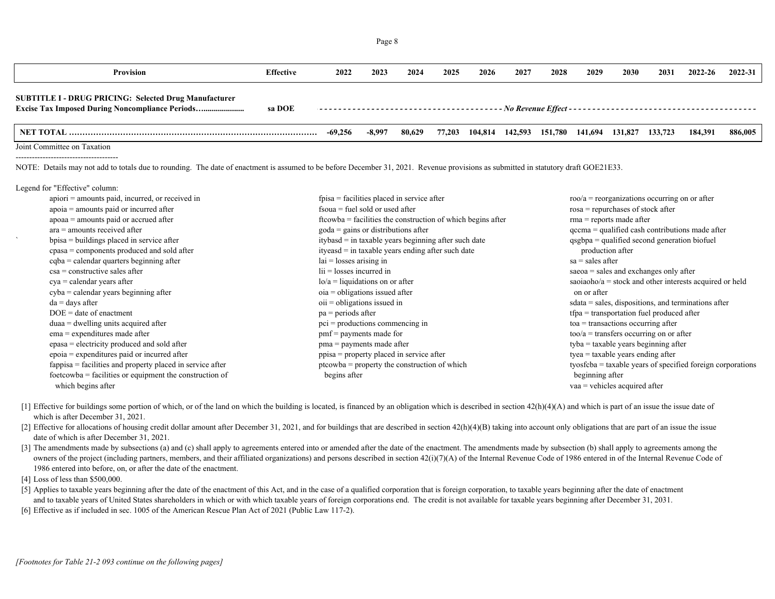| <b>Provision</b>                                                                                                       | <b>Effective</b> | 2022    | 2023   | 2024   | 2025   | 2026    | 2027    | 2028            | 2029 | 2030 | 2031            | 2022-26 | $2022 - 31$ |
|------------------------------------------------------------------------------------------------------------------------|------------------|---------|--------|--------|--------|---------|---------|-----------------|------|------|-----------------|---------|-------------|
| <b>SUBTITLE I - DRUG PRICING: Selected Drug Manufacturer</b><br><b>Excise Tax Imposed During Noncompliance Periods</b> | sa DOE           |         |        |        |        |         |         |                 |      |      |                 |         |             |
|                                                                                                                        |                  | -69,256 | -8.997 | 80,629 | 77,203 | 104,814 | 142,593 | 151,780 141,694 |      |      | 131,827 133,723 | 184.391 | 886,005     |
| Loint Committoo on Toxotion                                                                                            |                  |         |        |        |        |         |         |                 |      |      |                 |         |             |

Joint Committee on Taxation --------------------------------------

NOTE: Details may not add to totals due to rounding. The date of enactment is assumed to be before December 31, 2021. Revenue provisions as submitted in statutory draft GOE21E33.

Legend for "Effective" column:

| $a$ apiori = amounts paid, incurred, or received in         | $fpisa = facilities placed in service after$                | $\text{roo/a} = \text{reorganizations occurring on or after}$                           |
|-------------------------------------------------------------|-------------------------------------------------------------|-----------------------------------------------------------------------------------------|
| $apoia =$ amounts paid or incurred after                    | $f_{\text{s}$ oua = fuel sold or used after                 | $rosa = repurchases of stock after$                                                     |
| $apoaa =$ amounts paid or accrued after                     | ftcowba = facilities the construction of which begins after | $rma$ = reports made after                                                              |
| $ara =$ amounts received after                              | $\text{goda} = \text{gains or distributions after}$         | $\alpha$ qccma = qualified cash contributions made after                                |
| bpisa = buildings placed in service after                   | itybasd = in taxable years beginning after such date        | $qsgbpa =$ qualified second generation biofuel                                          |
| cpasa = components produced and sold after                  | $ityeasd = in taxable years ending after such date$         | production after                                                                        |
| $cqba = calendar$ quarters beginning after                  | $lai = losses arising in$                                   | $sa = sales after$                                                                      |
| $csa =$ constructive sales after                            | $\overline{\text{li}}$ = losses incurred in                 | $saeoa = sales$ and exchanges only after                                                |
| $cya = calendar years after$                                | $lo/a =$ liquidations on or after                           | saoiaoho/a = stock and other interests acquired or held                                 |
| cyba = calendar years beginning after                       | $oia = obligations$ issued after                            | on or after                                                                             |
| $da = days$ after                                           | $\delta$ oii = obligations issued in                        | $sdata = sales, dispositions, and terminations after$                                   |
| $DOE = date of enactment$                                   | $pa = periods after$                                        | $tfpa = transportation$ fuel produced after                                             |
| $duaa = dwelling$ units acquired after                      | $pci =$ productions commencing in                           | $toa =$ transactions occurring after                                                    |
| $ema =$ expenditures made after                             | $pmf =$ payments made for                                   | $\frac{\text{too}}{\text{a}} = \frac{\text{trans}}{\text{terms}}$ accurring on or after |
| $epasa = electricity produced and sold after$               | $pma =$ payments made after                                 | $tyba = taxable years beginning after$                                                  |
| $epoia =$ expenditures paid or incurred after               | ppisa = property placed in service after                    | $t$ yea = taxable years ending after                                                    |
| fappisa = facilities and property placed in service after   | ptcowba = property the construction of which                | $tysfeba = taxable years of specified foreign corporations$                             |
| $f$ foetcowba = facilities or equipment the construction of | begins after                                                | beginning after                                                                         |
| which begins after                                          |                                                             | $vaa =$ vehicles acquired after                                                         |
|                                                             |                                                             |                                                                                         |

[1] Effective for buildings some portion of which, or of the land on which the building is located, is financed by an obligation which is described in section 42(h)(4)(A) and which is part of an issue the issue date of which is after December 31, 2021.

[2] Effective for allocations of housing credit dollar amount after December 31, 2021, and for buildings that are described in section 42(h)(4)(B) taking into account only obligations that are part of an issue the issue date of which is after December 31, 2021.

[3] The amendments made by subsections (a) and (c) shall apply to agreements entered into or amended after the date of the enactment. The amendments made by subsection (b) shall apply to agreements among the owners of the project (including partners, members, and their affiliated organizations) and persons described in section 42(i)(7)(A) of the Internal Revenue Code of 1986 entered in of the Internal Revenue Code of 1986 entered into before, on, or after the date of the enactment.

[4] Loss of less than \$500,000.

[5] Applies to taxable years beginning after the date of the enactment of this Act, and in the case of a qualified corporation that is foreign corporation, to taxable years beginning after the date of enactment and to taxable years of United States shareholders in which or with which taxable years of foreign corporations end. The credit is not available for taxable years beginning after December 31, 2031.

[6] Effective as if included in sec. 1005 of the American Rescue Plan Act of 2021 (Public Law 117-2).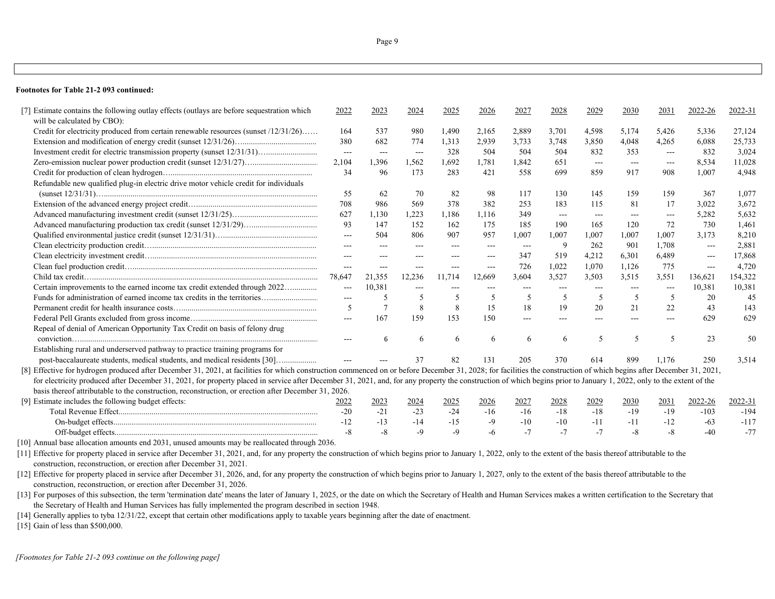### **Footnotes for Table 21-2 093 continued:**

| [7] Estimate contains the following outlay effects (outlays are before sequestration which                                                                                                                           | 2022   | 2023     | 2024   | 2025   | 2026          | 2027  | 2028                | 2029  | 2030                | 2031              | 2022-26 | 2022-31 |
|----------------------------------------------------------------------------------------------------------------------------------------------------------------------------------------------------------------------|--------|----------|--------|--------|---------------|-------|---------------------|-------|---------------------|-------------------|---------|---------|
| will be calculated by CBO):                                                                                                                                                                                          |        |          |        |        |               |       |                     |       |                     |                   |         |         |
| Credit for electricity produced from certain renewable resources (sunset /12/31/26)                                                                                                                                  | 164    | 537      | 980    | 1,490  | 2,165         | 2,889 | 3,701               | 4,598 | 5,174               | 5,426             | 5,336   | 27,124  |
|                                                                                                                                                                                                                      | 380    | 682      | 774    | 1,313  | 2,939         | 3,733 | 3,748               | 3,850 | 4,048               | 4.265             | 6,088   | 25,733  |
| Investment credit for electric transmission property (sunset 12/31/31)                                                                                                                                               | ---    | $\cdots$ | $---$  | 328    | 504           | 504   | 504                 | 832   | 353                 | $---$             | 832     | 3,024   |
|                                                                                                                                                                                                                      | 2,104  | 1,396    | 1,562  | 1,692  | 1,781         | 1,842 | 651                 | $---$ | $\qquad \qquad -$   | $\qquad \qquad -$ | 8,534   | 11,028  |
|                                                                                                                                                                                                                      | 34     | 96       | 173    | 283    | 421           | 558   | 699                 | 859   | 917                 | 908               | 1,007   | 4,948   |
| Refundable new qualified plug-in electric drive motor vehicle credit for individuals                                                                                                                                 |        |          |        |        |               |       |                     |       |                     |                   |         |         |
|                                                                                                                                                                                                                      | 55     | 62       | 70     | 82     | 98            | 117   | 130                 | 145   | 159                 | 159               | 367     | 1,077   |
|                                                                                                                                                                                                                      | 708    | 986      | 569    | 378    | 382           | 253   | 183                 | 115   | 81                  | 17                | 3,022   | 3,672   |
|                                                                                                                                                                                                                      | 627    | 1,130    | 1,223  | 1,186  | 1.116         | 349   | $\qquad \qquad - -$ | $---$ | $\qquad \qquad - -$ | $---$             | 5,282   | 5,632   |
|                                                                                                                                                                                                                      | 93     | 147      | 152    | 162    | 175           | 185   | 190                 | 165   | 120                 | 72                | 730     | 1,461   |
|                                                                                                                                                                                                                      | ---    | 504      | 806    | 907    | 957           | 1,007 | 1,007               | 1,007 | 1,007               | 1,007             | 3,173   | 8,210   |
|                                                                                                                                                                                                                      | ---    | $---$    | $---$  |        | ---           | $---$ | 9                   | 262   | 901                 | 1,708             | $---$   | 2,881   |
|                                                                                                                                                                                                                      |        | ---      | $---$  |        |               | 347   | 519                 | 4,212 | 6,301               | 6,489             | $---$   | 17,868  |
|                                                                                                                                                                                                                      | $---$  | $---$    | $---$  | $---$  | $\frac{1}{2}$ | 726   | 1,022               | 1,070 | 1,126               | 775               | $---$   | 4,720   |
|                                                                                                                                                                                                                      | 78,647 | 21,355   | 12,236 | 11,714 | 12,669        | 3,604 | 3,527               | 3,503 | 3,515               | 3,551             | 136,621 | 154,322 |
| Certain improvements to the earned income tax credit extended through 2022                                                                                                                                           | $---$  | 10.381   | $---$  |        |               |       |                     | $---$ | $---$               | $---$             | 10,381  | 10,381  |
| Funds for administration of earned income tax credits in the territories                                                                                                                                             | ---    |          | 5      | .5     | 5             | 5     | 5                   | 5     | 5                   | 5                 | 20      | 45      |
|                                                                                                                                                                                                                      | .5     |          | 8      | 8      | 15            | 18    | 19                  | 20    | 21                  | 22                | 43      | 143     |
|                                                                                                                                                                                                                      |        | 167      | 159    | 153    | 150           | ---   |                     | ---   | ---                 |                   | 629     | 629     |
| Repeal of denial of American Opportunity Tax Credit on basis of felony drug                                                                                                                                          |        |          |        |        |               |       |                     |       |                     |                   |         |         |
|                                                                                                                                                                                                                      |        |          | 6      | 6      | 6             | 6     | 6                   | 5     | 5                   | 5                 | 23      | 50      |
| Establishing rural and underserved pathway to practice training programs for                                                                                                                                         |        |          |        |        |               |       |                     |       |                     |                   |         |         |
| post-baccalaureate students, medical students, and medical residents [30]                                                                                                                                            | $---$  |          |        | 82     | 131           | 205   | 370                 | 614   | 899                 | 1.176             | 250     | 3.514   |
| [8] Effective for hydrogen produced after December 31, 2021, at facilities for which construction commenced on or before December 31, 2028; for facilities the construction of which begins after December 31, 2021, |        |          |        |        |               |       |                     |       |                     |                   |         |         |
| for electricity produced after December 31, 2021, for property placed in service after December 31, 2021, and, for any property the construction of which begins prior to January 1, 2022, only to the extent of the |        |          |        |        |               |       |                     |       |                     |                   |         |         |
| basis thereof attributable to the construction, reconstruction, or erection after December 31, 2026.                                                                                                                 |        |          |        |        |               |       |                     |       |                     |                   |         |         |
| [9] Estimate includes the following budget effects:                                                                                                                                                                  | 2022   | 2023     | 2024   | 2025   | 2026          | 2027  | 2028                | 2029  | 2030                | 2031              | 2022-26 | 2022-31 |
|                                                                                                                                                                                                                      | $-20$  | $-21$    | $-23$  | $-24$  | $-16$         | $-16$ | $-18$               | $-18$ | $-19$               | $-19$             | $-103$  | $-194$  |
|                                                                                                                                                                                                                      | $-12$  | $-13$    | $-14$  | $-15$  | $-9$          | $-10$ | $-10$               | $-11$ | $-11$               | $-12$             | $-63$   | $-117$  |
|                                                                                                                                                                                                                      | $-8$   | $-8$     | $-9$   | $-9$   | -6            | $-7$  | $-7$                | $-7$  | $-8$                | $-8$              | $-40$   | $-77$   |
|                                                                                                                                                                                                                      |        |          |        |        |               |       |                     |       |                     |                   |         |         |

[10] Annual base allocation amounts end 2031, unused amounts may be reallocated through 2036.

[11] Effective for property placed in service after December 31, 2021, and, for any property the construction of which begins prior to January 1, 2022, only to the extent of the basis thereof attributable to the construction, reconstruction, or erection after December 31, 2021.

[12] Effective for property placed in service after December 31, 2026, and, for any property the construction of which begins prior to January 1, 2027, only to the extent of the basis thereof attributable to the construction, reconstruction, or erection after December 31, 2026.

[13] For purposes of this subsection, the term 'termination date' means the later of January 1, 2025, or the date on which the Secretary of Health and Human Services makes a written certification to the Secretary that the Secretary of Health and Human Services has fully implemented the program described in section 1948.

[14] Generally applies to tyba 12/31/22, except that certain other modifications apply to taxable years beginning after the date of enactment.

[15] Gain of less than \$500,000.